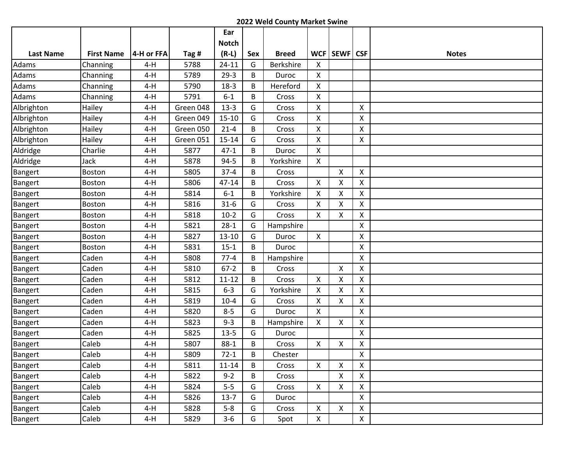|                  |                   |            |           | Ear          |     |                  |                           |                    |                           |              |
|------------------|-------------------|------------|-----------|--------------|-----|------------------|---------------------------|--------------------|---------------------------|--------------|
|                  |                   |            |           | <b>Notch</b> |     |                  |                           |                    |                           |              |
| <b>Last Name</b> | <b>First Name</b> | 4-H or FFA | Tag #     | $(R-L)$      | Sex | <b>Breed</b>     |                           | WCF   SEWF   CSF   |                           | <b>Notes</b> |
| Adams            | Channing          | $4-H$      | 5788      | $24 - 11$    | G   | <b>Berkshire</b> | X                         |                    |                           |              |
| Adams            | Channing          | $4-H$      | 5789      | $29-3$       | B   | Duroc            | X                         |                    |                           |              |
| Adams            | Channing          | $4-H$      | 5790      | $18-3$       | B   | Hereford         | X                         |                    |                           |              |
| Adams            | Channing          | $4-H$      | 5791      | $6-1$        | B   | Cross            | X                         |                    |                           |              |
| Albrighton       | Hailey            | $4-H$      | Green 048 | $13-3$       | G   | Cross            | $\mathsf{X}$              |                    | X                         |              |
| Albrighton       | Hailey            | $4-H$      | Green 049 | $15 - 10$    | G   | Cross            | $\mathsf{X}$              |                    | Χ                         |              |
| Albrighton       | Hailey            | $4-H$      | Green 050 | $21 - 4$     | B   | Cross            | X                         |                    | Χ                         |              |
| Albrighton       | Hailey            | $4-H$      | Green 051 | $15 - 14$    | G   | Cross            | $\mathsf{X}$              |                    | X                         |              |
| Aldridge         | Charlie           | $4-H$      | 5877      | $47 - 1$     | B   | Duroc            | X                         |                    |                           |              |
| Aldridge         | Jack              | $4-H$      | 5878      | $94 - 5$     | В   | Yorkshire        | $\mathsf{X}$              |                    |                           |              |
| <b>Bangert</b>   | Boston            | $4-H$      | 5805      | $37 - 4$     | B   | Cross            |                           | $\pmb{\mathsf{X}}$ | $\boldsymbol{\mathsf{X}}$ |              |
| <b>Bangert</b>   | Boston            | $4-H$      | 5806      | $47 - 14$    | B   | Cross            | $\mathsf{X}$              | $\pmb{\mathsf{X}}$ | X                         |              |
| Bangert          | Boston            | $4-H$      | 5814      | $6 - 1$      | B   | Yorkshire        | $\mathsf{X}$              | X                  | X                         |              |
| <b>Bangert</b>   | Boston            | $4-H$      | 5816      | $31-6$       | G   | Cross            | X                         | $\pmb{\mathsf{X}}$ | X                         |              |
| Bangert          | Boston            | $4-H$      | 5818      | $10-2$       | G   | Cross            | $\mathsf{X}$              | X                  | X                         |              |
| Bangert          | Boston            | $4-H$      | 5821      | $28-1$       | G   | Hampshire        |                           |                    | Χ                         |              |
| <b>Bangert</b>   | <b>Boston</b>     | $4-H$      | 5827      | $13 - 10$    | G   | Duroc            | $\mathsf{X}$              |                    | X                         |              |
| Bangert          | Boston            | $4-H$      | 5831      | $15-1$       | B   | Duroc            |                           |                    | Χ                         |              |
| Bangert          | Caden             | $4-H$      | 5808      | $77 - 4$     | B   | Hampshire        |                           |                    | Χ                         |              |
| Bangert          | Caden             | $4-H$      | 5810      | $67 - 2$     | B   | Cross            |                           | X                  | X                         |              |
| <b>Bangert</b>   | Caden             | $4-H$      | 5812      | $11 - 12$    | B   | Cross            | $\boldsymbol{\mathsf{X}}$ | Χ                  | Χ                         |              |
| Bangert          | Caden             | $4-H$      | 5815      | $6 - 3$      | G   | Yorkshire        | X                         | Χ                  | X                         |              |
| Bangert          | Caden             | $4-H$      | 5819      | $10 - 4$     | G   | Cross            | X                         | X                  | $\pmb{\mathsf{X}}$        |              |
| Bangert          | Caden             | $4-H$      | 5820      | $8 - 5$      | G   | Duroc            | $\mathsf{X}$              |                    | Χ                         |              |
| Bangert          | Caden             | $4-H$      | 5823      | $9 - 3$      | B   | Hampshire        | $\mathsf{X}$              | X                  | X                         |              |
| <b>Bangert</b>   | Caden             | $4-H$      | 5825      | $13 - 5$     | G   | Duroc            |                           |                    | X                         |              |
| Bangert          | Caleb             | $4-H$      | 5807      | $88-1$       | B   | Cross            | $\mathsf{X}$              | X                  | Χ                         |              |
| Bangert          | Caleb             | $4-H$      | 5809      | $72-1$       | B   | Chester          |                           |                    | Χ                         |              |
| Bangert          | Caleb             | 4-H        | 5811      | $11 - 14$    | B   | Cross            | $\mathsf{X}$              | X                  | $\mathsf{X}$              |              |
| Bangert          | Caleb             | $4-H$      | 5822      | $9 - 2$      | B   | Cross            |                           | X                  | $\mathsf{X}$              |              |
| Bangert          | Caleb             | $4-H$      | 5824      | $5-5$        | G   | Cross            | $\mathsf{X}$              | X                  | X                         |              |
| Bangert          | Caleb             | 4-H        | 5826      | $13-7$       | G   | Duroc            |                           |                    | X                         |              |
| <b>Bangert</b>   | Caleb             | 4-H        | 5828      | $5-8$        | G   | Cross            | $\mathsf{X}$              | $\mathsf{X}$       | X                         |              |
| Bangert          | Caleb             | $4-H$      | 5829      | $3 - 6$      | G   | Spot             | $\mathsf{X}$              |                    | X                         |              |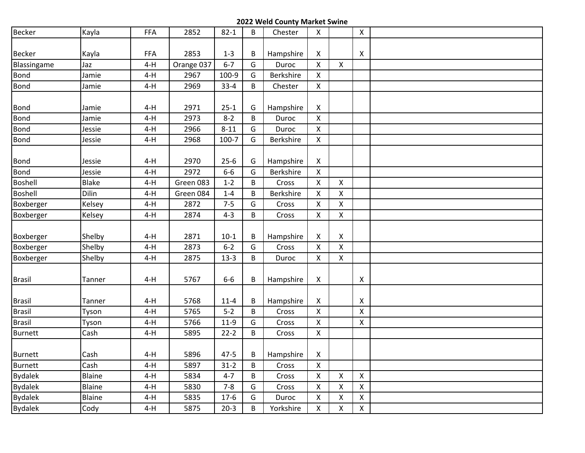| <b>Becker</b>  | Kayla  | <b>FFA</b> | 2852       | $82 - 1$  | B | Chester   | $\mathsf{X}$       |                    | $\mathsf{X}$       |  |
|----------------|--------|------------|------------|-----------|---|-----------|--------------------|--------------------|--------------------|--|
|                |        |            |            |           |   |           |                    |                    |                    |  |
| Becker         | Kayla  | <b>FFA</b> | 2853       | $1 - 3$   | B | Hampshire | X                  |                    | X                  |  |
| Blassingame    | Jaz    | $4-H$      | Orange 037 | $6 - 7$   | G | Duroc     | $\pmb{\mathsf{X}}$ | $\mathsf{X}$       |                    |  |
| Bond           | Jamie  | $4-H$      | 2967       | 100-9     | G | Berkshire | $\mathsf{X}$       |                    |                    |  |
| Bond           | Jamie  | $4-H$      | 2969       | $33 - 4$  | B | Chester   | $\mathsf{X}$       |                    |                    |  |
|                |        |            |            |           |   |           |                    |                    |                    |  |
| Bond           | Jamie  | $4-H$      | 2971       | $25-1$    | G | Hampshire | X                  |                    |                    |  |
| <b>Bond</b>    | Jamie  | $4-H$      | 2973       | $8 - 2$   | B | Duroc     | $\pmb{\mathsf{X}}$ |                    |                    |  |
| Bond           | Jessie | $4-H$      | 2966       | $8 - 11$  | G | Duroc     | $\mathsf{X}$       |                    |                    |  |
| Bond           | Jessie | $4-H$      | 2968       | $100 - 7$ | G | Berkshire | $\mathsf{X}$       |                    |                    |  |
|                |        |            |            |           |   |           |                    |                    |                    |  |
| Bond           | Jessie | $4-H$      | 2970       | $25-6$    | G | Hampshire | X                  |                    |                    |  |
| <b>Bond</b>    | Jessie | $4-H$      | 2972       | $6-6$     | G | Berkshire | $\mathsf{X}$       |                    |                    |  |
| Boshell        | Blake  | $4-H$      | Green 083  | $1 - 2$   | B | Cross     | X                  | X                  |                    |  |
| <b>Boshell</b> | Dilin  | $4-H$      | Green 084  | $1 - 4$   | B | Berkshire | X                  | $\pmb{\mathsf{X}}$ |                    |  |
| Boxberger      | Kelsey | $4-H$      | 2872       | $7 - 5$   | G | Cross     | $\mathsf{X}$       | X                  |                    |  |
| Boxberger      | Kelsey | $4-H$      | 2874       | $4 - 3$   | B | Cross     | $\mathsf{X}$       | X                  |                    |  |
|                |        |            |            |           |   |           |                    |                    |                    |  |
| Boxberger      | Shelby | $4-H$      | 2871       | $10-1$    | В | Hampshire | X                  | X                  |                    |  |
| Boxberger      | Shelby | $4-H$      | 2873       | $6 - 2$   | G | Cross     | $\pmb{\mathsf{X}}$ | X                  |                    |  |
| Boxberger      | Shelby | $4-H$      | 2875       | $13-3$    | B | Duroc     | $\mathsf{X}$       | X                  |                    |  |
|                |        |            |            |           |   |           |                    |                    |                    |  |
| <b>Brasil</b>  | Tanner | $4-H$      | 5767       | $6-6$     | В | Hampshire | X                  |                    | X                  |  |
|                |        |            |            |           |   |           |                    |                    |                    |  |
| <b>Brasil</b>  | Tanner | $4-H$      | 5768       | $11 - 4$  | В | Hampshire | X                  |                    | X                  |  |
| <b>Brasil</b>  | Tyson  | $4-H$      | 5765       | $5-2$     | B | Cross     | $\pmb{\mathsf{X}}$ |                    | X                  |  |
| <b>Brasil</b>  | Tyson  | $4-H$      | 5766       | $11-9$    | G | Cross     | X                  |                    | $\pmb{\mathsf{X}}$ |  |
| <b>Burnett</b> | Cash   | $4-H$      | 5895       | $22-2$    | B | Cross     | $\pmb{\mathsf{X}}$ |                    |                    |  |
|                |        |            |            |           |   |           |                    |                    |                    |  |
| <b>Burnett</b> | Cash   | $4-H$      | 5896       | $47 - 5$  | В | Hampshire | X                  |                    |                    |  |
| <b>Burnett</b> | Cash   | $4-H$      | 5897       | $31 - 2$  | B | Cross     | $\mathsf{X}$       |                    |                    |  |
| <b>Bydalek</b> | Blaine | $4-H$      | 5834       | $4 - 7$   | B | Cross     | $\pmb{\mathsf{X}}$ | X                  | $\pmb{\mathsf{X}}$ |  |
| <b>Bydalek</b> | Blaine | $4-H$      | 5830       | $7 - 8$   | G | Cross     | $\pmb{\times}$     | Χ                  | X                  |  |
| <b>Bydalek</b> | Blaine | $4-H$      | 5835       | $17-6$    | G | Duroc     | $\pmb{\times}$     | $\pmb{\mathsf{X}}$ | $\pmb{\mathsf{X}}$ |  |
| <b>Bydalek</b> | Cody   | $4-H$      | 5875       | $20-3$    | B | Yorkshire | $\pmb{\mathsf{X}}$ | X                  | $\pmb{\times}$     |  |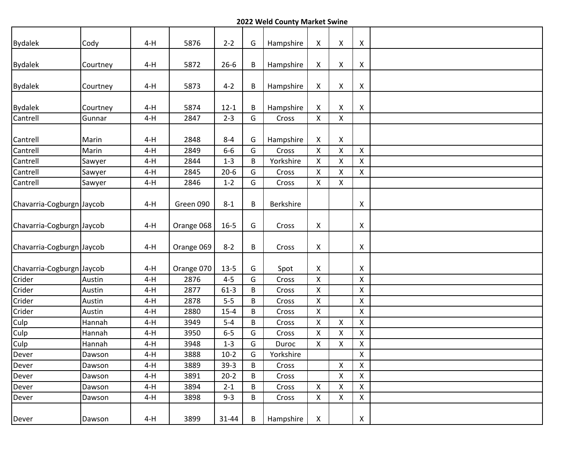| <b>Bydalek</b>            | Cody     | $4-H$ | 5876       | $2 - 2$   | G | Hampshire | X                  | X | X                         |  |
|---------------------------|----------|-------|------------|-----------|---|-----------|--------------------|---|---------------------------|--|
| <b>Bydalek</b>            | Courtney | $4-H$ | 5872       | $26 - 6$  | B | Hampshire | X                  | X | X                         |  |
| <b>Bydalek</b>            | Courtney | $4-H$ | 5873       | $4 - 2$   | B | Hampshire | X                  | X | $\boldsymbol{X}$          |  |
| <b>Bydalek</b>            | Courtney | $4-H$ | 5874       | $12 - 1$  | B | Hampshire | X                  | X | X                         |  |
| Cantrell                  | Gunnar   | $4-H$ | 2847       | $2 - 3$   | G | Cross     | $\pmb{\mathsf{X}}$ | X |                           |  |
| Cantrell                  | Marin    | $4-H$ | 2848       | $8 - 4$   | G | Hampshire | X                  | X |                           |  |
| Cantrell                  | Marin    | $4-H$ | 2849       | $6-6$     | G | Cross     | $\pmb{\mathsf{X}}$ | X | $\mathsf{X}$              |  |
| Cantrell                  | Sawyer   | $4-H$ | 2844       | $1-3$     | B | Yorkshire | $\pmb{\mathsf{X}}$ | X | $\pmb{\mathsf{X}}$        |  |
| Cantrell                  | Sawyer   | $4-H$ | 2845       | $20-6$    | G | Cross     | $\mathsf{X}$       | X | $\mathsf{X}$              |  |
| Cantrell                  | Sawyer   | $4-H$ | 2846       | $1 - 2$   | G | Cross     | $\pmb{\times}$     | X |                           |  |
| Chavarria-Cogburgn Jaycob |          | $4-H$ | Green 090  | $8 - 1$   | B | Berkshire |                    |   | X                         |  |
| Chavarria-Cogburgn Jaycob |          | $4-H$ | Orange 068 | $16 - 5$  | G | Cross     | X                  |   | X                         |  |
| Chavarria-Cogburgn Jaycob |          | $4-H$ | Orange 069 | $8 - 2$   | B | Cross     | X                  |   | X                         |  |
| Chavarria-Cogburgn Jaycob |          | $4-H$ | Orange 070 | $13-5$    | G | Spot      | X                  |   | $\boldsymbol{\mathsf{X}}$ |  |
| Crider                    | Austin   | $4-H$ | 2876       | $4 - 5$   | G | Cross     | $\pmb{\times}$     |   | $\pmb{\times}$            |  |
| Crider                    | Austin   | $4-H$ | 2877       | $61-3$    | B | Cross     | $\pmb{\mathsf{X}}$ |   | $\pmb{\mathsf{X}}$        |  |
| Crider                    | Austin   | $4-H$ | 2878       | $5-5$     | B | Cross     | $\mathsf{X}$       |   | $\pmb{\mathsf{X}}$        |  |
| Crider                    | Austin   | $4-H$ | 2880       | $15 - 4$  | B | Cross     | $\mathsf{X}$       |   | $\pmb{\mathsf{X}}$        |  |
| Culp                      | Hannah   | $4-H$ | 3949       | $5-4$     | В | Cross     | $\pmb{\mathsf{X}}$ | X | X                         |  |
| Culp                      | Hannah   | $4-H$ | 3950       | $6-5$     | G | Cross     | X                  | Χ | X                         |  |
| Culp                      | Hannah   | $4-H$ | 3948       | $1 - 3$   | G | Duroc     | $\pmb{\mathsf{X}}$ | X | $\pmb{\mathsf{X}}$        |  |
| Dever                     | Dawson   | $4-H$ | 3888       | $10-2$    | G | Yorkshire |                    |   | $\pmb{\mathsf{X}}$        |  |
| Dever                     | Dawson   | $4-H$ | 3889       | $39-3$    | B | Cross     |                    | X | X                         |  |
| Dever                     | Dawson   | $4-H$ | 3891       | $20-2$    | B | Cross     |                    | X | $\pmb{\mathsf{X}}$        |  |
| Dever                     | Dawson   | 4-H   | 3894       | $2 - 1$   | B | Cross     | $\pmb{\mathsf{X}}$ | X | $\pmb{\mathsf{X}}$        |  |
| Dever                     | Dawson   | 4-H   | 3898       | $9 - 3$   | B | Cross     | X                  | X | X                         |  |
| Dever                     | Dawson   | 4-H   | 3899       | $31 - 44$ | B | Hampshire | X                  |   | X                         |  |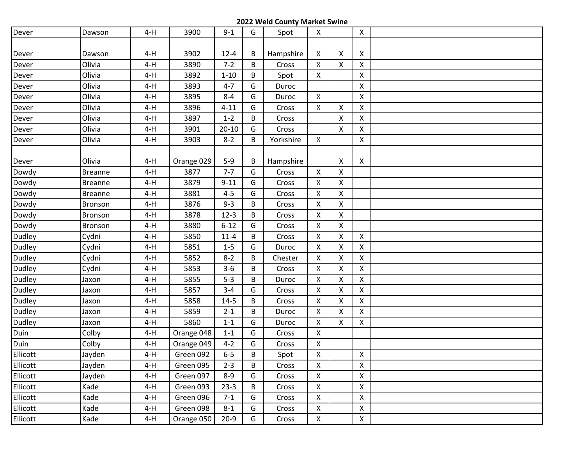| Dever    | Dawson         | $4-H$ | 3900       | $9 - 1$   | G | Spot      | $\mathsf{X}$       |   | $\pmb{\mathsf{X}}$ |  |
|----------|----------------|-------|------------|-----------|---|-----------|--------------------|---|--------------------|--|
|          |                |       |            |           |   |           |                    |   |                    |  |
| Dever    | Dawson         | $4-H$ | 3902       | $12 - 4$  | B | Hampshire | X                  | X | X                  |  |
| Dever    | Olivia         | $4-H$ | 3890       | $7 - 2$   | B | Cross     | $\mathsf{X}$       | X | $\pmb{\times}$     |  |
| Dever    | Olivia         | $4-H$ | 3892       | $1 - 10$  | B | Spot      | $\mathsf{X}$       |   | $\mathsf{X}$       |  |
| Dever    | Olivia         | $4-H$ | 3893       | $4 - 7$   | G | Duroc     |                    |   | $\pmb{\times}$     |  |
| Dever    | Olivia         | $4-H$ | 3895       | $8 - 4$   | G | Duroc     | $\mathsf{X}$       |   | $\pmb{\mathsf{X}}$ |  |
| Dever    | Olivia         | $4-H$ | 3896       | $4 - 11$  | G | Cross     | $\mathsf{X}$       | X | $\mathsf{X}$       |  |
| Dever    | Olivia         | $4-H$ | 3897       | $1 - 2$   | B | Cross     |                    | Χ | $\pmb{\mathsf{X}}$ |  |
| Dever    | Olivia         | $4-H$ | 3901       | $20 - 10$ | G | Cross     |                    | X | X                  |  |
| Dever    | Olivia         | $4-H$ | 3903       | $8 - 2$   | B | Yorkshire | $\mathsf{X}$       |   | X                  |  |
|          |                |       |            |           |   |           |                    |   |                    |  |
| Dever    | Olivia         | $4-H$ | Orange 029 | $5-9$     | B | Hampshire |                    | X | X                  |  |
| Dowdy    | <b>Breanne</b> | $4-H$ | 3877       | $7 - 7$   | G | Cross     | X                  | X |                    |  |
| Dowdy    | <b>Breanne</b> | $4-H$ | 3879       | $9 - 11$  | G | Cross     | $\mathsf{X}$       | X |                    |  |
| Dowdy    | <b>Breanne</b> | $4-H$ | 3881       | $4 - 5$   | G | Cross     | $\pmb{\mathsf{X}}$ | Χ |                    |  |
| Dowdy    | <b>Bronson</b> | $4-H$ | 3876       | $9 - 3$   | B | Cross     | X                  | X |                    |  |
| Dowdy    | Bronson        | $4-H$ | 3878       | $12-3$    | B | Cross     | $\pmb{\times}$     | X |                    |  |
| Dowdy    | Bronson        | $4-H$ | 3880       | $6 - 12$  | G | Cross     | X                  | Χ |                    |  |
| Dudley   | Cydni          | $4-H$ | 5850       | $11 - 4$  | B | Cross     | $\mathsf{X}$       | X | $\mathsf{X}$       |  |
| Dudley   | Cydni          | $4-H$ | 5851       | $1 - 5$   | G | Duroc     | $\mathsf{X}$       | Χ | $\pmb{\times}$     |  |
| Dudley   | Cydni          | $4-H$ | 5852       | $8 - 2$   | В | Chester   | X                  | X | $\mathsf{X}$       |  |
| Dudley   | Cydni          | $4-H$ | 5853       | $3-6$     | B | Cross     | X                  | Χ | $\pmb{\times}$     |  |
| Dudley   | Jaxon          | $4-H$ | 5855       | $5 - 3$   | B | Duroc     | $\mathsf{X}$       | Χ | $\mathsf{X}$       |  |
| Dudley   | Jaxon          | $4-H$ | 5857       | $3 - 4$   | G | Cross     | $\mathsf{X}$       | Χ | $\mathsf{X}$       |  |
| Dudley   | Jaxon          | $4-H$ | 5858       | $14 - 5$  | B | Cross     | $\pmb{\mathsf{X}}$ | X | $\pmb{\mathsf{X}}$ |  |
| Dudley   | Jaxon          | $4-H$ | 5859       | $2 - 1$   | B | Duroc     | $\mathsf{X}$       | X | $\mathsf{X}$       |  |
| Dudley   | Jaxon          | $4-H$ | 5860       | $1 - 1$   | G | Duroc     | $\mathsf{X}$       | X | $\pmb{\times}$     |  |
| Duin     | Colby          | $4-H$ | Orange 048 | $1 - 1$   | G | Cross     | X                  |   |                    |  |
| Duin     | Colby          | $4-H$ | Orange 049 | $4 - 2$   | G | Cross     | $\pmb{\mathsf{X}}$ |   |                    |  |
| Ellicott | Jayden         | $4-H$ | Green 092  | $6-5$     | B | Spot      | $\mathsf X$        |   | $\mathsf{X}$       |  |
| Ellicott | Jayden         | $4-H$ | Green 095  | $2 - 3$   | B | Cross     | $\pmb{\mathsf{X}}$ |   | $\pmb{\mathsf{X}}$ |  |
| Ellicott | Jayden         | $4-H$ | Green 097  | $8 - 9$   | G | Cross     | $\mathsf X$        |   | $\pmb{\mathsf{X}}$ |  |
| Ellicott | Kade           | $4-H$ | Green 093  | $23-3$    | B | Cross     | $\mathsf{X}$       |   | $\pmb{\mathsf{X}}$ |  |
| Ellicott | Kade           | 4-H   | Green 096  | $7 - 1$   | G | Cross     | $\pmb{\mathsf{X}}$ |   | $\mathsf X$        |  |
| Ellicott | Kade           | $4-H$ | Green 098  | $8 - 1$   | G | Cross     | $\pmb{\mathsf{X}}$ |   | $\pmb{\mathsf{X}}$ |  |
| Ellicott | Kade           | $4-H$ | Orange 050 | $20-9$    | G | Cross     | $\mathsf X$        |   | $\mathsf X$        |  |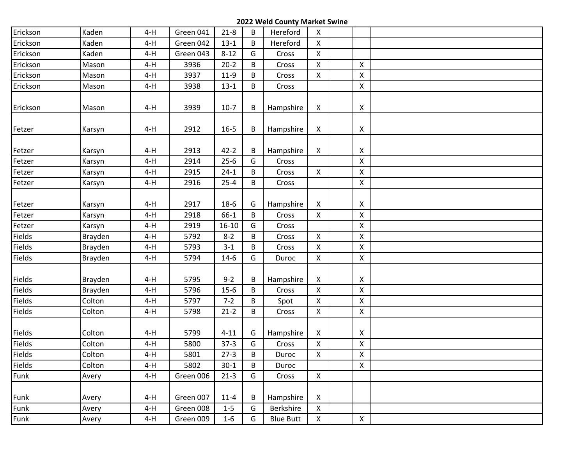| Erickson | Kaden   | $4-H$ | Green 041 | $21 - 8$  | B | Hereford         | $\pmb{\mathsf{X}}$ |                           |  |
|----------|---------|-------|-----------|-----------|---|------------------|--------------------|---------------------------|--|
| Erickson | Kaden   | $4-H$ | Green 042 | $13-1$    | B | Hereford         | $\mathsf{X}$       |                           |  |
| Erickson | Kaden   | $4-H$ | Green 043 | $8 - 12$  | G | Cross            | $\mathsf{X}$       |                           |  |
| Erickson | Mason   | $4-H$ | 3936      | $20-2$    | B | Cross            | $\pmb{\times}$     | $\boldsymbol{\mathsf{X}}$ |  |
| Erickson | Mason   | $4-H$ | 3937      | $11-9$    | B | Cross            | $\mathsf{X}$       | $\pmb{\mathsf{X}}$        |  |
| Erickson | Mason   | $4-H$ | 3938      | $13 - 1$  | B | Cross            |                    | $\pmb{\times}$            |  |
| Erickson | Mason   | $4-H$ | 3939      | $10-7$    | B | Hampshire        | X                  | X                         |  |
| Fetzer   | Karsyn  | $4-H$ | 2912      | $16 - 5$  | B | Hampshire        | X                  | X                         |  |
| Fetzer   | Karsyn  | $4-H$ | 2913      | $42 - 2$  | B | Hampshire        | X                  | X                         |  |
| Fetzer   | Karsyn  | $4-H$ | 2914      | $25-6$    | G | Cross            |                    | $\pmb{\mathsf{X}}$        |  |
| Fetzer   | Karsyn  | $4-H$ | 2915      | $24-1$    | B | Cross            | $\mathsf{X}$       | $\mathsf X$               |  |
| Fetzer   | Karsyn  | $4-H$ | 2916      | $25 - 4$  | B | Cross            |                    | $\mathsf{X}$              |  |
| Fetzer   | Karsyn  | $4-H$ | 2917      | $18-6$    | G | Hampshire        | X                  | X                         |  |
| Fetzer   | Karsyn  | $4-H$ | 2918      | $66-1$    | B | Cross            | $\mathsf{X}$       | $\mathsf{X}$              |  |
| Fetzer   | Karsyn  | $4-H$ | 2919      | $16 - 10$ | G | Cross            |                    | $\pmb{\mathsf{X}}$        |  |
| Fields   | Brayden | $4-H$ | 5792      | $8 - 2$   | B | Cross            | $\mathsf{X}$       | $\pmb{\mathsf{X}}$        |  |
| Fields   | Brayden | $4-H$ | 5793      | $3-1$     | B | Cross            | $\mathsf{X}$       | $\pmb{\mathsf{X}}$        |  |
| Fields   | Brayden | $4-H$ | 5794      | $14-6$    | G | Duroc            | $\mathsf{X}$       | $\pmb{\mathsf{X}}$        |  |
| Fields   | Brayden | $4-H$ | 5795      | $9 - 2$   | B | Hampshire        | X                  | X                         |  |
| Fields   | Brayden | $4-H$ | 5796      | $15-6$    | B | Cross            | $\mathsf{X}$       | $\mathsf{X}$              |  |
| Fields   | Colton  | $4-H$ | 5797      | $7 - 2$   | B | Spot             | $\mathsf X$        | $\pmb{\mathsf{X}}$        |  |
| Fields   | Colton  | $4-H$ | 5798      | $21-2$    | B | Cross            | $\mathsf{X}$       | $\mathsf{X}$              |  |
| Fields   | Colton  | $4-H$ | 5799      | $4 - 11$  | G | Hampshire        | X                  | X                         |  |
| Fields   | Colton  | $4-H$ | 5800      | $37-3$    | G | Cross            | $\pmb{\times}$     | $\pmb{\mathsf{X}}$        |  |
| Fields   | Colton  | $4-H$ | 5801      | $27-3$    | B | Duroc            | $\mathsf X$        | $\mathsf{X}$              |  |
| Fields   | Colton  | $4-H$ | 5802      | $30-1$    | B | Duroc            |                    | $\pmb{\mathsf{X}}$        |  |
| Funk     | Avery   | $4-H$ | Green 006 | $21-3$    | G | Cross            | $\mathsf X$        |                           |  |
| Funk     | Avery   | $4-H$ | Green 007 | $11 - 4$  | B | Hampshire        | $\pmb{\mathsf{X}}$ |                           |  |
| Funk     | Avery   | $4-H$ | Green 008 | $1 - 5$   | G | Berkshire        | X                  |                           |  |
| Funk     | Avery   | $4-H$ | Green 009 | $1-6$     | G | <b>Blue Butt</b> | $\mathsf{X}^-$     | $\mathsf{X}^-$            |  |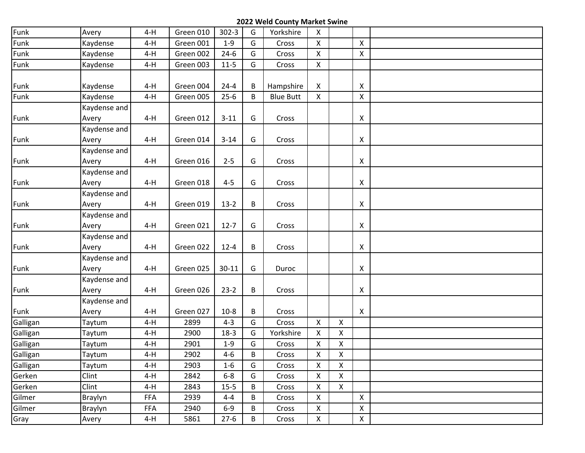| Funk     | Avery          | $4-H$      | Green 010 | $302 - 3$ | G | Yorkshire        | $\mathsf{X}$       |                           |              |  |
|----------|----------------|------------|-----------|-----------|---|------------------|--------------------|---------------------------|--------------|--|
| Funk     | Kaydense       | $4-H$      | Green 001 | $1 - 9$   | G | Cross            | $\mathsf{X}$       |                           | $\mathsf{X}$ |  |
| Funk     | Kaydense       | $4-H$      | Green 002 | $24-6$    | G | Cross            | X                  |                           | X            |  |
| Funk     | Kaydense       | $4-H$      | Green 003 | $11 - 5$  | G | Cross            | $\mathsf{X}$       |                           |              |  |
|          |                |            |           |           |   |                  |                    |                           |              |  |
| Funk     | Kaydense       | $4-H$      | Green 004 | $24 - 4$  | B | Hampshire        | $\mathsf{X}$       |                           | X            |  |
| Funk     | Kaydense       | $4-H$      | Green 005 | $25-6$    | B | <b>Blue Butt</b> | $\pmb{\mathsf{X}}$ |                           | Χ            |  |
|          | Kaydense and   |            |           |           |   |                  |                    |                           |              |  |
| Funk     | Avery          | $4-H$      | Green 012 | $3 - 11$  | G | Cross            |                    |                           | X            |  |
|          | Kaydense and   |            |           |           |   |                  |                    |                           |              |  |
| Funk     | Avery          | $4-H$      | Green 014 | $3 - 14$  | G | Cross            |                    |                           | X            |  |
|          | Kaydense and   |            |           |           |   |                  |                    |                           |              |  |
| Funk     | Avery          | $4-H$      | Green 016 | $2 - 5$   | G | Cross            |                    |                           | X            |  |
|          | Kaydense and   |            |           |           |   |                  |                    |                           |              |  |
| Funk     | Avery          | $4-H$      | Green 018 | $4 - 5$   | G | Cross            |                    |                           | X            |  |
|          | Kaydense and   |            |           |           |   |                  |                    |                           |              |  |
| Funk     | Avery          | $4-H$      | Green 019 | $13-2$    | B | Cross            |                    |                           | X            |  |
|          | Kaydense and   |            |           |           |   |                  |                    |                           |              |  |
| Funk     | Avery          | $4-H$      | Green 021 | $12 - 7$  | G | Cross            |                    |                           | X            |  |
|          | Kaydense and   |            |           |           |   |                  |                    |                           |              |  |
| Funk     | Avery          | $4-H$      | Green 022 | $12 - 4$  | B | Cross            |                    |                           | X            |  |
|          | Kaydense and   |            |           |           |   |                  |                    |                           |              |  |
| Funk     | Avery          | $4-H$      | Green 025 | $30 - 11$ | G | Duroc            |                    |                           | X            |  |
|          | Kaydense and   |            |           |           |   |                  |                    |                           |              |  |
| Funk     | Avery          | $4-H$      | Green 026 | $23-2$    | B | Cross            |                    |                           | X            |  |
|          | Kaydense and   |            |           |           |   |                  |                    |                           |              |  |
| Funk     | Avery          | $4-H$      | Green 027 | $10-8$    | B | Cross            |                    |                           | X            |  |
| Galligan | Taytum         | $4-H$      | 2899      | $4 - 3$   | G | Cross            | $\mathsf{X}$       | $\boldsymbol{\mathsf{X}}$ |              |  |
| Galligan | Taytum         | $4-H$      | 2900      | $18-3$    | G | Yorkshire        | X                  | X                         |              |  |
| Galligan | Taytum         | $4-H$      | 2901      | $1-9$     | G | Cross            | $\pmb{\mathsf{X}}$ | $\mathsf X$               |              |  |
| Galligan | Taytum         | $4-H$      | 2902      | $4 - 6$   | B | Cross            | $\mathsf{X}$       | X                         |              |  |
| Galligan | Taytum         | $4-H$      | 2903      | $1 - 6$   | G | Cross            | X                  | X                         |              |  |
| Gerken   | Clint          | $4-H$      | 2842      | $6 - 8$   | G | Cross            | X                  | $\pmb{\times}$            |              |  |
| Gerken   | Clint          | $4-H$      | 2843      | $15 - 5$  | B | Cross            | $\pmb{\mathsf{X}}$ | $\mathsf{X}$              |              |  |
| Gilmer   | <b>Braylyn</b> | <b>FFA</b> | 2939      | $4 - 4$   | B | Cross            | X                  |                           | X            |  |
| Gilmer   | <b>Braylyn</b> | FFA        | 2940      | $6-9$     | B | Cross            | X                  |                           | X            |  |
| Gray     | Avery          | $4-H$      | 5861      | $27 - 6$  | B | Cross            | $\mathsf X$        |                           | X            |  |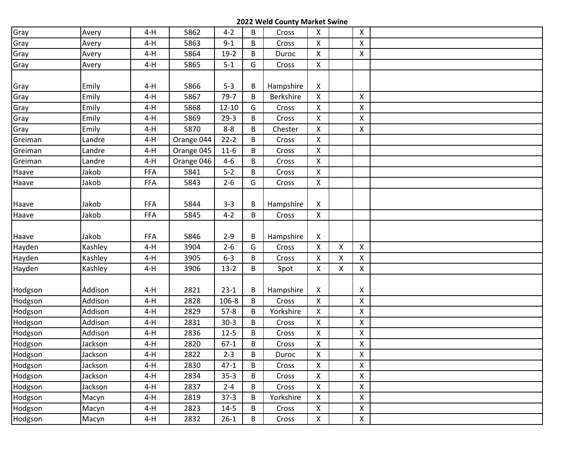| Gray    | Avery   | $4-H$      | 5862       | $4 - 2$   | B | Cross     | $\mathsf{X}$       |              | $\mathsf{X}$              |  |
|---------|---------|------------|------------|-----------|---|-----------|--------------------|--------------|---------------------------|--|
| Gray    | Avery   | $4-H$      | 5863       | $9 - 1$   | B | Cross     | $\pmb{\mathsf{X}}$ |              | X                         |  |
| Gray    | Avery   | $4-H$      | 5864       | $19-2$    | B | Duroc     | $\mathsf{X}$       |              | X                         |  |
| Gray    | Avery   | $4-H$      | 5865       | $5-1$     | G | Cross     | $\pmb{\times}$     |              |                           |  |
|         |         |            |            |           |   |           |                    |              |                           |  |
| Gray    | Emily   | $4-H$      | 5866       | $5 - 3$   | В | Hampshire | $\mathsf{X}$       |              |                           |  |
| Gray    | Emily   | $4-H$      | 5867       | $79 - 7$  | B | Berkshire | $\mathsf{X}$       |              | $\boldsymbol{\mathsf{X}}$ |  |
| Gray    | Emily   | $4-H$      | 5868       | $12 - 10$ | G | Cross     | $\pmb{\mathsf{X}}$ |              | X                         |  |
| Gray    | Emily   | $4-H$      | 5869       | $29-3$    | B | Cross     | $\mathsf{X}$       |              | Χ                         |  |
| Gray    | Emily   | $4-H$      | 5870       | $8-8$     | B | Chester   | $\mathsf{X}$       |              | $\mathsf{X}$              |  |
| Greiman | Landre  | $4-H$      | Orange 044 | $22 - 2$  | B | Cross     | $\mathsf{X}$       |              |                           |  |
| Greiman | Landre  | $4-H$      | Orange 045 | $11-6$    | B | Cross     | $\mathsf{X}$       |              |                           |  |
| Greiman | Landre  | $4-H$      | Orange 046 | $4 - 6$   | B | Cross     | $\mathsf{X}$       |              |                           |  |
| Haave   | Jakob   | <b>FFA</b> | 5841       | $5-2$     | B | Cross     | $\pmb{\mathsf{X}}$ |              |                           |  |
| Haave   | Jakob   | <b>FFA</b> | 5843       | $2 - 6$   | G | Cross     | $\mathsf{X}^-$     |              |                           |  |
|         |         |            |            |           |   |           |                    |              |                           |  |
| Haave   | Jakob   | <b>FFA</b> | 5844       | $3 - 3$   | В | Hampshire | X                  |              |                           |  |
| Haave   | Jakob   | <b>FFA</b> | 5845       | $4 - 2$   | B | Cross     | $\pmb{\times}$     |              |                           |  |
|         |         |            |            |           |   |           |                    |              |                           |  |
| Haave   | Jakob   | <b>FFA</b> | 5846       | $2 - 9$   | В | Hampshire | $\mathsf{X}$       |              |                           |  |
| Hayden  | Kashley | $4-H$      | 3904       | $2 - 6$   | G | Cross     | $\mathsf{X}$       | X            | $\pmb{\times}$            |  |
| Hayden  | Kashley | $4-H$      | 3905       | $6 - 3$   | B | Cross     | $\mathsf{X}$       | X            | X                         |  |
| Hayden  | Kashley | $4-H$      | 3906       | $13-2$    | B | Spot      | $\mathsf{X}$       | $\mathsf{X}$ | $\mathsf X$               |  |
|         |         |            |            |           |   |           |                    |              |                           |  |
| Hodgson | Addison | 4-H        | 2821       | $23-1$    | B | Hampshire | $\mathsf{X}$       |              | X                         |  |
| Hodgson | Addison | $4-H$      | 2828       | 106-8     | B | Cross     | $\mathsf{X}$       |              | $\pmb{\times}$            |  |
| Hodgson | Addison | $4-H$      | 2829       | $57-8$    | B | Yorkshire | $\mathsf{X}$       |              | X                         |  |
| Hodgson | Addison | $4-H$      | 2831       | $30-3$    | B | Cross     | $\mathsf{X}$       |              | X                         |  |
| Hodgson | Addison | $4-H$      | 2836       | $12 - 5$  | B | Cross     | $\mathsf{X}$       |              | X                         |  |
| Hodgson | Jackson | $4-H$      | 2820       | $67-1$    | B | Cross     | $\pmb{\mathsf{X}}$ |              | Χ                         |  |
| Hodgson | Jackson | $4-H$      | 2822       | $2 - 3$   | В | Duroc     | $\mathsf{X}$       |              | $\mathsf{X}$              |  |
| Hodgson | Jackson | $4-H$      | 2830       | $47-1$    | B | Cross     | $\mathsf{X}$       |              | $\mathsf{X}$              |  |
| Hodgson | Jackson | 4-H        | 2834       | $35-3$    | B | Cross     | $\mathsf{X}$       |              | $\pmb{\mathsf{X}}$        |  |
| Hodgson | Jackson | $4-H$      | 2837       | $2 - 4$   | B | Cross     | $\mathsf{X}^-$     |              | $\pmb{\mathsf{X}}$        |  |
| Hodgson | Macyn   | $4-H$      | 2819       | $37-3$    | B | Yorkshire | $\mathsf{X}$       |              | X                         |  |
| Hodgson | Macyn   | $4-H$      | 2823       | $14 - 5$  | В | Cross     | $\mathsf{X}$       |              | $\pmb{\mathsf{X}}$        |  |
| Hodgson | Macyn   | $4-H$      | 2832       | $26 - 1$  | B | Cross     | $\mathsf X$        |              | $\pmb{\mathsf{X}}$        |  |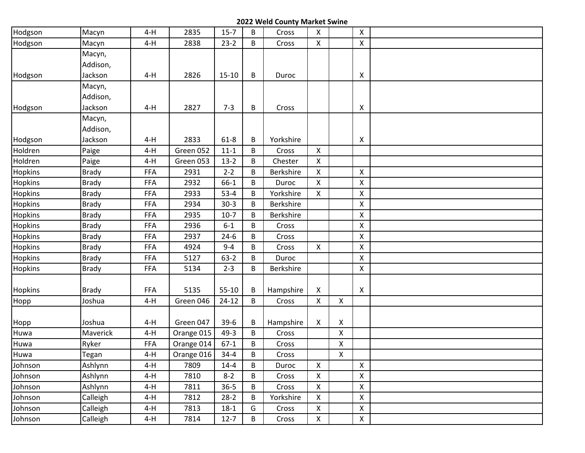| Hodgson | Macyn        | $4-H$      | 2835       | $15 - 7$  | B           | Cross     | $\mathsf{X}$       |                    | X            |  |
|---------|--------------|------------|------------|-----------|-------------|-----------|--------------------|--------------------|--------------|--|
| Hodgson | Macyn        | $4-H$      | 2838       | $23-2$    | B           | Cross     | X                  |                    | $\mathsf{X}$ |  |
|         | Macyn,       |            |            |           |             |           |                    |                    |              |  |
|         | Addison,     |            |            |           |             |           |                    |                    |              |  |
| Hodgson | Jackson      | $4-H$      | 2826       | $15 - 10$ | B           | Duroc     |                    |                    | X            |  |
|         | Macyn,       |            |            |           |             |           |                    |                    |              |  |
|         | Addison,     |            |            |           |             |           |                    |                    |              |  |
| Hodgson | Jackson      | $4-H$      | 2827       | $7 - 3$   | B           | Cross     |                    |                    | X            |  |
|         | Macyn,       |            |            |           |             |           |                    |                    |              |  |
|         | Addison,     |            |            |           |             |           |                    |                    |              |  |
| Hodgson | Jackson      | $4-H$      | 2833       | $61 - 8$  | B           | Yorkshire |                    |                    | X            |  |
| Holdren | Paige        | $4-H$      | Green 052  | $11 - 1$  | B           | Cross     | $\mathsf{X}$       |                    |              |  |
| Holdren | Paige        | $4-H$      | Green 053  | $13-2$    | B           | Chester   | X                  |                    |              |  |
| Hopkins | <b>Brady</b> | FFA        | 2931       | $2 - 2$   | B           | Berkshire | X                  |                    | $\mathsf{X}$ |  |
| Hopkins | <b>Brady</b> | <b>FFA</b> | 2932       | 66-1      | B           | Duroc     | $\mathsf{X}$       |                    | X            |  |
| Hopkins | <b>Brady</b> | <b>FFA</b> | 2933       | $53 - 4$  | B           | Yorkshire | $\pmb{\times}$     |                    | X            |  |
| Hopkins | <b>Brady</b> | <b>FFA</b> | 2934       | $30-3$    | B           | Berkshire |                    |                    | X            |  |
| Hopkins | <b>Brady</b> | FFA        | 2935       | $10-7$    | B           | Berkshire |                    |                    | X            |  |
| Hopkins | <b>Brady</b> | <b>FFA</b> | 2936       | $6-1$     | B           | Cross     |                    |                    | X            |  |
| Hopkins | <b>Brady</b> | FFA        | 2937       | $24-6$    | B           | Cross     |                    |                    | X            |  |
| Hopkins | <b>Brady</b> | FFA        | 4924       | $9 - 4$   | B           | Cross     | $\mathsf{X}$       |                    | X            |  |
| Hopkins | <b>Brady</b> | <b>FFA</b> | 5127       | $63-2$    | B           | Duroc     |                    |                    | $\mathsf{X}$ |  |
| Hopkins | <b>Brady</b> | FFA        | 5134       | $2 - 3$   | B           | Berkshire |                    |                    | X            |  |
| Hopkins | <b>Brady</b> | <b>FFA</b> | 5135       | $55 - 10$ | B           | Hampshire | $\mathsf{X}$       |                    | X            |  |
| Hopp    | Joshua       | $4-H$      | Green 046  | $24-12$   | B           | Cross     | $\mathsf{X}$       | $\mathsf{X}$       |              |  |
|         |              |            |            |           |             |           |                    |                    |              |  |
| Hopp    | Joshua       | $4-H$      | Green 047  | $39-6$    | B           | Hampshire | X                  | X                  |              |  |
| Huwa    | Maverick     | $4-H$      | Orange 015 | $49-3$    | B           | Cross     |                    | X                  |              |  |
| Huwa    | Ryker        | <b>FFA</b> | Orange 014 | $67-1$    | B           | Cross     |                    | X                  |              |  |
| Huwa    | Tegan        | $4-H$      | Orange 016 | $34 - 4$  | B           | Cross     |                    | $\pmb{\mathsf{X}}$ |              |  |
| Johnson | Ashlynn      | $4-H$      | 7809       | $14 - 4$  | B           | Duroc     | X                  |                    | X            |  |
| Johnson | Ashlynn      | $4-H$      | 7810       | $8 - 2$   | B           | Cross     | $\pmb{\mathsf{X}}$ |                    | $\mathsf X$  |  |
| Johnson | Ashlynn      | $4-H$      | 7811       | $36 - 5$  | B           | Cross     | $\mathsf{X}$       |                    | X            |  |
| Johnson | Calleigh     | $4-H$      | 7812       | $28-2$    | B           | Yorkshire | X                  |                    | X            |  |
| Johnson | Calleigh     | 4-H        | 7813       | $18-1$    | G           | Cross     | X                  |                    | X            |  |
| Johnson | Calleigh     | $4-H$      | 7814       | $12 - 7$  | $\mathsf B$ | Cross     | $\mathsf X$        |                    | $\mathsf X$  |  |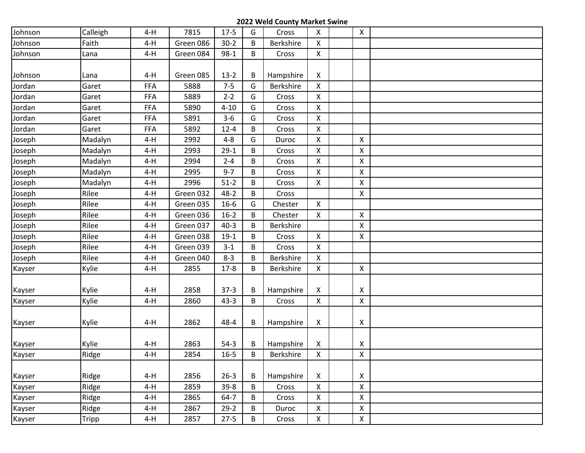| Johnson | Calleigh     | $4-H$      | 7815      | $17-5$   | G | Cross     | $\mathsf{X}$       | $\mathsf{X}$       |  |
|---------|--------------|------------|-----------|----------|---|-----------|--------------------|--------------------|--|
| Johnson | Faith        | $4-H$      | Green 086 | $30-2$   | B | Berkshire | $\mathsf{X}$       |                    |  |
| Johnson | Lana         | $4-H$      | Green 084 | $98-1$   | B | Cross     | $\mathsf{X}$       |                    |  |
|         |              |            |           |          |   |           |                    |                    |  |
| Johnson | Lana         | $4-H$      | Green 085 | $13-2$   | В | Hampshire | $\mathsf{X}$       |                    |  |
| Jordan  | Garet        | <b>FFA</b> | 5888      | $7 - 5$  | G | Berkshire | $\mathsf{X}$       |                    |  |
| Jordan  | Garet        | <b>FFA</b> | 5889      | $2 - 2$  | G | Cross     | $\mathsf{X}$       |                    |  |
| Jordan  | Garet        | <b>FFA</b> | 5890      | $4 - 10$ | G | Cross     | $\mathsf{X}$       |                    |  |
| Jordan  | Garet        | <b>FFA</b> | 5891      | $3 - 6$  | G | Cross     | $\mathsf{X}$       |                    |  |
| Jordan  | Garet        | <b>FFA</b> | 5892      | $12 - 4$ | B | Cross     | $\mathsf{X}$       |                    |  |
| Joseph  | Madalyn      | $4-H$      | 2992      | $4 - 8$  | G | Duroc     | $\mathsf{X}$       | $\pmb{\times}$     |  |
| Joseph  | Madalyn      | $4-H$      | 2993      | $29-1$   | B | Cross     | $\mathsf{X}$       | X                  |  |
| Joseph  | Madalyn      | $4-H$      | 2994      | $2 - 4$  | B | Cross     | $\mathsf{X}$       | X                  |  |
| Joseph  | Madalyn      | $4-H$      | 2995      | $9 - 7$  | B | Cross     | $\mathsf{X}$       | X                  |  |
| Joseph  | Madalyn      | $4-H$      | 2996      | $51-2$   | B | Cross     | $\mathsf{X}$       | X                  |  |
| Joseph  | Rilee        | $4-H$      | Green 032 | $48 - 2$ | B | Cross     |                    | $\pmb{\times}$     |  |
| Joseph  | Rilee        | $4-H$      | Green 035 | $16 - 6$ | G | Chester   | $\mathsf{X}$       |                    |  |
| Joseph  | Rilee        | $4-H$      | Green 036 | $16-2$   | B | Chester   | $\mathsf{X}$       | X                  |  |
| Joseph  | Rilee        | $4-H$      | Green 037 | $40-3$   | B | Berkshire |                    | X                  |  |
| Joseph  | Rilee        | $4-H$      | Green 038 | $19-1$   | B | Cross     | $\mathsf{X}$       | X                  |  |
| Joseph  | Rilee        | $4-H$      | Green 039 | $3 - 1$  | B | Cross     | $\mathsf{X}$       |                    |  |
| Joseph  | Rilee        | $4-H$      | Green 040 | $8 - 3$  | B | Berkshire | $\mathsf{X}$       |                    |  |
| Kayser  | Kylie        | $4-H$      | 2855      | $17 - 8$ | B | Berkshire | X                  | $\pmb{\times}$     |  |
|         |              |            |           |          |   |           |                    |                    |  |
| Kayser  | Kylie        | 4-H        | 2858      | $37-3$   | В | Hampshire | X                  | X                  |  |
| Kayser  | Kylie        | $4-H$      | 2860      | $43 - 3$ | B | Cross     | $\mathsf{X}$       | $\mathsf{X}$       |  |
|         |              |            |           |          |   |           |                    |                    |  |
| Kayser  | Kylie        | $4-H$      | 2862      | 48-4     | B | Hampshire | $\mathsf{X}$       | X                  |  |
|         |              |            |           |          |   |           |                    |                    |  |
| Kayser  | Kylie        | $4-H$      | 2863      | $54-3$   | В | Hampshire | X                  | X                  |  |
| Kayser  | Ridge        | $4-H$      | 2854      | $16 - 5$ | B | Berkshire | $\mathsf{X}$       | X                  |  |
|         |              |            |           |          |   |           |                    |                    |  |
| Kayser  | Ridge        | $4-H$      | 2856      | $26 - 3$ | В | Hampshire | $\mathsf{X}$       | X                  |  |
| Kayser  | Ridge        | $4-H$      | 2859      | $39 - 8$ | B | Cross     | $\mathsf{X}$       | X                  |  |
| Kayser  | Ridge        | $4-H$      | 2865      | $64 - 7$ | B | Cross     | $\mathsf{X}$       | X                  |  |
| Kayser  | Ridge        | $4-H$      | 2867      | $29-2$   | B | Duroc     | $\pmb{\mathsf{X}}$ | $\pmb{\mathsf{X}}$ |  |
| Kayser  | <b>Tripp</b> | 4-H        | 2857      | $27 - 5$ | B | Cross     | $\mathsf{X}^-$     | $\pmb{\mathsf{X}}$ |  |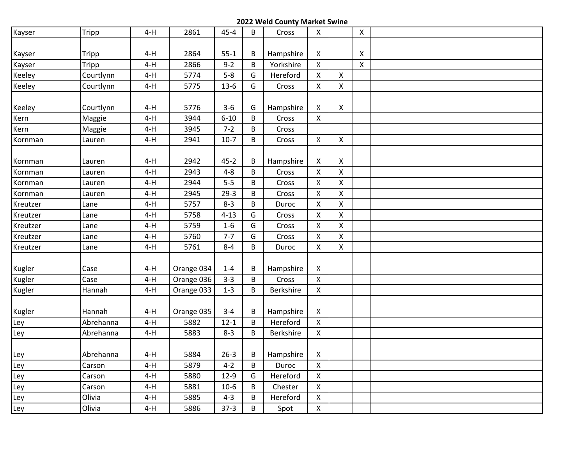| Kayser   | Tripp     | $4-H$ | 2861       | $45 - 4$ | B | Cross     | $\mathsf{X}$       |                    | $\pmb{\mathsf{X}}$ |  |
|----------|-----------|-------|------------|----------|---|-----------|--------------------|--------------------|--------------------|--|
|          |           |       |            |          |   |           |                    |                    |                    |  |
| Kayser   | Tripp     | $4-H$ | 2864       | $55 - 1$ | B | Hampshire | X                  |                    | Χ                  |  |
| Kayser   | Tripp     | $4-H$ | 2866       | $9 - 2$  | B | Yorkshire | $\mathsf{X}$       |                    | $\mathsf{x}$       |  |
| Keeley   | Courtlynn | $4-H$ | 5774       | $5 - 8$  | G | Hereford  | X                  | $\mathsf{X}$       |                    |  |
| Keeley   | Courtlynn | $4-H$ | 5775       | $13-6$   | G | Cross     | $\mathsf{X}$       | X                  |                    |  |
|          |           |       |            |          |   |           |                    |                    |                    |  |
| Keeley   | Courtlynn | $4-H$ | 5776       | $3 - 6$  | G | Hampshire | X                  | X                  |                    |  |
| Kern     | Maggie    | $4-H$ | 3944       | $6 - 10$ | B | Cross     | X                  |                    |                    |  |
| Kern     | Maggie    | $4-H$ | 3945       | $7 - 2$  | В | Cross     |                    |                    |                    |  |
| Kornman  | Lauren    | $4-H$ | 2941       | $10-7$   | B | Cross     | $\pmb{\mathsf{X}}$ | $\pmb{\mathsf{X}}$ |                    |  |
|          |           |       |            |          |   |           |                    |                    |                    |  |
| Kornman  | Lauren    | $4-H$ | 2942       | $45 - 2$ | В | Hampshire | X                  | X                  |                    |  |
| Kornman  | Lauren    | $4-H$ | 2943       | $4 - 8$  | B | Cross     | X                  | $\mathsf{X}$       |                    |  |
| Kornman  | Lauren    | $4-H$ | 2944       | $5-5$    | B | Cross     | X                  | X                  |                    |  |
| Kornman  | Lauren    | $4-H$ | 2945       | $29-3$   | B | Cross     | X                  | $\pmb{\mathsf{X}}$ |                    |  |
| Kreutzer | Lane      | $4-H$ | 5757       | $8 - 3$  | B | Duroc     | $\pmb{\mathsf{X}}$ | X                  |                    |  |
| Kreutzer | Lane      | $4-H$ | 5758       | $4 - 13$ | G | Cross     | $\pmb{\mathsf{X}}$ | X                  |                    |  |
| Kreutzer | Lane      | $4-H$ | 5759       | $1-6$    | G | Cross     | $\pmb{\times}$     | $\mathsf{X}$       |                    |  |
| Kreutzer | Lane      | $4-H$ | 5760       | $7 - 7$  | G | Cross     | X                  | X                  |                    |  |
| Kreutzer | Lane      | $4-H$ | 5761       | $8 - 4$  | B | Duroc     | $\pmb{\mathsf{X}}$ | X                  |                    |  |
|          |           |       |            |          |   |           |                    |                    |                    |  |
| Kugler   | Case      | $4-H$ | Orange 034 | $1 - 4$  | B | Hampshire | X                  |                    |                    |  |
| Kugler   | Case      | $4-H$ | Orange 036 | $3 - 3$  | B | Cross     | $\mathsf{X}$       |                    |                    |  |
| Kugler   | Hannah    | $4-H$ | Orange 033 | $1 - 3$  | B | Berkshire | $\mathsf{X}$       |                    |                    |  |
|          |           |       |            |          |   |           |                    |                    |                    |  |
| Kugler   | Hannah    | $4-H$ | Orange 035 | $3 - 4$  | В | Hampshire | X                  |                    |                    |  |
| Ley      | Abrehanna | $4-H$ | 5882       | $12 - 1$ | B | Hereford  | X                  |                    |                    |  |
| Ley      | Abrehanna | $4-H$ | 5883       | $8 - 3$  | B | Berkshire | $\mathsf{X}$       |                    |                    |  |
|          |           |       |            |          |   |           |                    |                    |                    |  |
| Ley      | Abrehanna | $4-H$ | 5884       | $26 - 3$ | В | Hampshire | X                  |                    |                    |  |
| Ley      | Carson    | $4-H$ | 5879       | $4 - 2$  | B | Duroc     | X                  |                    |                    |  |
| Ley      | Carson    | $4-H$ | 5880       | $12-9$   | G | Hereford  | $\pmb{\times}$     |                    |                    |  |
| Ley      | Carson    | 4-H   | 5881       | $10-6$   | В | Chester   | X                  |                    |                    |  |
| Ley      | Olivia    | $4-H$ | 5885       | $4 - 3$  | В | Hereford  | $\mathsf{X}$       |                    |                    |  |
| Ley      | Olivia    | $4-H$ | 5886       | $37-3$   | B | Spot      | $\mathsf X$        |                    |                    |  |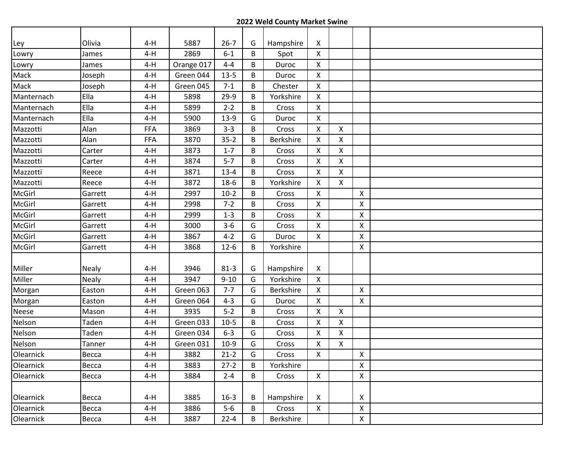| Ley        | Olivia       | $4-H$ | 5887       | $26 - 7$ | G | Hampshire | X              |                |                    |  |
|------------|--------------|-------|------------|----------|---|-----------|----------------|----------------|--------------------|--|
| Lowry      | James        | $4-H$ | 2869       | $6 - 1$  | B | Spot      | X              |                |                    |  |
| Lowry      | James        | $4-H$ | Orange 017 | $4 - 4$  | B | Duroc     | $\mathsf{X}$   |                |                    |  |
| Mack       | Joseph       | $4-H$ | Green 044  | $13 - 5$ | B | Duroc     | X              |                |                    |  |
| Mack       | Joseph       | $4-H$ | Green 045  | $7 - 1$  | B | Chester   | X              |                |                    |  |
| Manternach | Ella         | $4-H$ | 5898       | $29-9$   | B | Yorkshire | $\mathsf{X}$   |                |                    |  |
| Manternach | Ella         | $4-H$ | 5899       | $2 - 2$  | B | Cross     | $\mathsf{X}$   |                |                    |  |
| Manternach | Ella         | $4-H$ | 5900       | $13-9$   | G | Duroc     | $\mathsf{X}$   |                |                    |  |
| Mazzotti   | Alan         | FFA   | 3869       | $3 - 3$  | B | Cross     | X              | X              |                    |  |
| Mazzotti   | Alan         | FFA   | 3870       | $35 - 2$ | B | Berkshire | X              | X              |                    |  |
| Mazzotti   | Carter       | $4-H$ | 3873       | $1 - 7$  | B | Cross     | X              | X              |                    |  |
| Mazzotti   | Carter       | $4-H$ | 3874       | $5 - 7$  | B | Cross     | X              | $\pmb{\times}$ |                    |  |
| Mazzotti   | Reece        | $4-H$ | 3871       | $13 - 4$ | B | Cross     | X              | X              |                    |  |
| Mazzotti   | Reece        | $4-H$ | 3872       | $18-6$   | B | Yorkshire | $\mathsf{X}$   | $\mathsf{X}$   |                    |  |
| McGirl     | Garrett      | $4-H$ | 2997       | $10-2$   | B | Cross     | $\mathsf{X}$   |                | $\mathsf{X}$       |  |
| McGirl     | Garrett      | $4-H$ | 2998       | $7 - 2$  | B | Cross     | X              |                | $\mathsf{X}$       |  |
| McGirl     | Garrett      | $4-H$ | 2999       | $1 - 3$  | B | Cross     | X              |                | $\mathsf{X}$       |  |
| McGirl     | Garrett      | $4-H$ | 3000       | $3 - 6$  | G | Cross     | X              |                | $\pmb{\mathsf{X}}$ |  |
| McGirl     | Garrett      | $4-H$ | 3867       | $4 - 2$  | G | Duroc     | $\mathsf{X}$   |                | $\pmb{\mathsf{X}}$ |  |
| McGirl     | Garrett      | $4-H$ | 3868       | $12-6$   | B | Yorkshire |                |                | $\mathsf{X}$       |  |
|            |              |       |            |          |   |           |                |                |                    |  |
| Miller     | <b>Nealy</b> | $4-H$ | 3946       | $81 - 3$ | G | Hampshire | X              |                |                    |  |
| Miller     | <b>Nealy</b> | $4-H$ | 3947       | $9 - 10$ | G | Yorkshire | X              |                |                    |  |
| Morgan     | Easton       | $4-H$ | Green 063  | $7 - 7$  | G | Berkshire | X              |                | $\mathsf{X}$       |  |
| Morgan     | Easton       | $4-H$ | Green 064  | $4 - 3$  | G | Duroc     | $\mathsf{X}$   |                | $\mathsf{X}$       |  |
| Neese      | Mason        | $4-H$ | 3935       | $5-2$    | B | Cross     | $\mathsf{X}$   | X              |                    |  |
| Nelson     | Taden        | $4-H$ | Green 033  | $10-5$   | B | Cross     | X              | X              |                    |  |
| Nelson     | Taden        | $4-H$ | Green 034  | $6 - 3$  | G | Cross     | X              | X              |                    |  |
| Nelson     | Tanner       | $4-H$ | Green 031  | $10-9$   | G | Cross     | X              | X              |                    |  |
| Olearnick  | Becca        | $4-H$ | 3882       | $21 - 2$ | G | Cross     | X              |                | X                  |  |
| Olearnick  | Becca        | $4-H$ | 3883       | $27-2$   | B | Yorkshire |                |                | X                  |  |
| Olearnick  | Becca        | $4-H$ | 3884       | $2 - 4$  | В | Cross     | $\mathsf{X}^-$ |                | X                  |  |
|            |              |       |            |          |   |           |                |                |                    |  |
| Olearnick  | Becca        | $4-H$ | 3885       | $16 - 3$ | B | Hampshire | X              |                | X                  |  |
| Olearnick  | Becca        | $4-H$ | 3886       | $5-6$    | В | Cross     | X              |                | $\pmb{\mathsf{X}}$ |  |
| Olearnick  | Becca        | $4-H$ | 3887       | $22 - 4$ | B | Berkshire |                |                | $\pmb{\mathsf{X}}$ |  |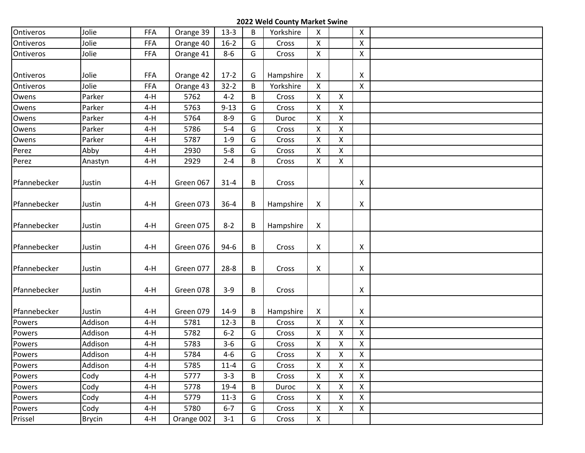| Ontiveros    | Jolie         | FFA        | Orange 39  | $13-3$   | B | Yorkshire | X                  |   | X                  |  |
|--------------|---------------|------------|------------|----------|---|-----------|--------------------|---|--------------------|--|
| Ontiveros    | Jolie         | <b>FFA</b> | Orange 40  | $16-2$   | G | Cross     | $\mathsf{X}$       |   | $\pmb{\times}$     |  |
| Ontiveros    | Jolie         | FFA        | Orange 41  | $8-6$    | G | Cross     | $\mathsf{X}$       |   | $\mathsf{X}$       |  |
|              |               |            |            |          |   |           |                    |   |                    |  |
| Ontiveros    | Jolie         | <b>FFA</b> | Orange 42  | $17-2$   | G | Hampshire | X                  |   | X                  |  |
| Ontiveros    | Jolie         | <b>FFA</b> | Orange 43  | $32 - 2$ | B | Yorkshire | X                  |   | $\mathsf{X}$       |  |
| Owens        | Parker        | $4-H$      | 5762       | $4 - 2$  | B | Cross     | $\mathsf{X}$       | X |                    |  |
| Owens        | Parker        | $4-H$      | 5763       | $9 - 13$ | G | Cross     | $\mathsf{X}$       | X |                    |  |
| Owens        | Parker        | $4-H$      | 5764       | $8 - 9$  | G | Duroc     | $\mathsf{X}$       | Χ |                    |  |
| Owens        | Parker        | $4-H$      | 5786       | $5-4$    | G | Cross     | $\pmb{\mathsf{X}}$ | Χ |                    |  |
| Owens        | Parker        | $4-H$      | 5787       | $1-9$    | G | Cross     | Χ                  | Χ |                    |  |
| Perez        | Abby          | $4-H$      | 2930       | $5-8$    | G | Cross     | $\pmb{\mathsf{X}}$ | X |                    |  |
| Perez        | Anastyn       | $4-H$      | 2929       | $2 - 4$  | B | Cross     | $\mathsf{X}$       | X |                    |  |
|              |               |            |            |          |   |           |                    |   |                    |  |
| Pfannebecker | Justin        | $4-H$      | Green 067  | $31 - 4$ | B | Cross     |                    |   | X                  |  |
|              |               |            |            |          |   |           |                    |   |                    |  |
| Pfannebecker | Justin        | $4-H$      | Green 073  | $36 - 4$ | В | Hampshire | X                  |   | X                  |  |
|              |               |            |            |          |   |           |                    |   |                    |  |
| Pfannebecker | Justin        | $4-H$      | Green 075  | $8 - 2$  | В | Hampshire | X                  |   |                    |  |
|              |               |            |            |          |   |           |                    |   |                    |  |
| Pfannebecker | Justin        | $4-H$      | Green 076  | $94-6$   | В | Cross     | $\mathsf{X}$       |   | X                  |  |
|              |               |            |            |          |   |           |                    |   |                    |  |
| Pfannebecker | Justin        | $4-H$      | Green 077  | $28 - 8$ | B | Cross     | $\pmb{\mathsf{X}}$ |   | X                  |  |
|              |               |            |            |          |   |           |                    |   |                    |  |
| Pfannebecker | Justin        | $4-H$      | Green 078  | $3-9$    | B | Cross     |                    |   | X                  |  |
|              |               |            |            |          |   |           |                    |   |                    |  |
| Pfannebecker | Justin        | 4-H        | Green 079  | $14-9$   | В | Hampshire | $\mathsf{X}$       |   | X                  |  |
| Powers       | Addison       | $4-H$      | 5781       | $12-3$   | B | Cross     | $\pmb{\times}$     | X | $\pmb{\mathsf{X}}$ |  |
| Powers       | Addison       | $4-H$      | 5782       | $6 - 2$  | G | Cross     | X                  | Χ | X                  |  |
| Powers       | Addison       | $4-H$      | 5783       | $3 - 6$  | G | Cross     | Χ                  | Χ | X                  |  |
| Powers       | Addison       | $4-H$      | 5784       | $4 - 6$  | G | Cross     | $\mathsf X$        | Χ | $\pmb{\mathsf{X}}$ |  |
| Powers       | Addison       | $4-H$      | 5785       | $11 - 4$ | G | Cross     | X                  | Χ | $\pmb{\mathsf{X}}$ |  |
| Powers       | Cody          | $4-H$      | 5777       | $3 - 3$  | B | Cross     | X                  | X | $\mathsf X$        |  |
| Powers       | Cody          | 4-H        | 5778       | $19-4$   | B | Duroc     | X                  | X | $\mathsf{X}$       |  |
| Powers       | Cody          | 4-H        | 5779       | $11-3$   | G | Cross     | $\pmb{\mathsf{X}}$ | Χ | $\mathsf X$        |  |
| Powers       | Cody          | 4-H        | 5780       | $6 - 7$  | G | Cross     | $\pmb{\mathsf{X}}$ | Χ | $\pmb{\mathsf{X}}$ |  |
| Prissel      | <b>Brycin</b> | $4-H$      | Orange 002 | $3 - 1$  | G | Cross     | $\mathsf X$        |   |                    |  |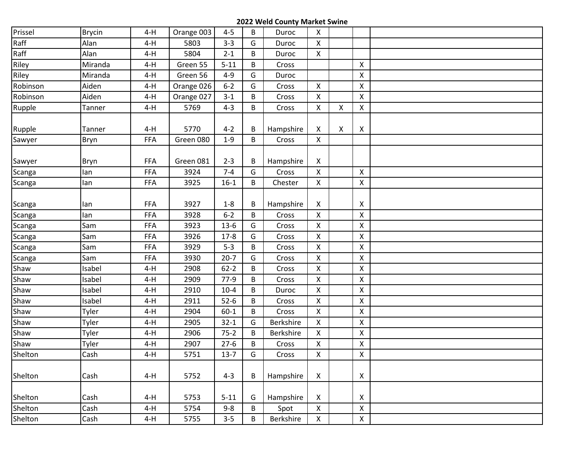| Prissel  | <b>Brycin</b> | $4-H$      | Orange 003 | $4 - 5$  | B | Duroc            | $\mathsf{X}$       |   |                           |  |
|----------|---------------|------------|------------|----------|---|------------------|--------------------|---|---------------------------|--|
| Raff     | Alan          | $4-H$      | 5803       | $3 - 3$  | G | Duroc            | $\pmb{\times}$     |   |                           |  |
| Raff     | Alan          | $4-H$      | 5804       | $2 - 1$  | B | Duroc            | $\pmb{\mathsf{X}}$ |   |                           |  |
| Riley    | Miranda       | $4-H$      | Green 55   | $5 - 11$ | B | Cross            |                    |   | $\boldsymbol{\mathsf{X}}$ |  |
| Riley    | Miranda       | $4-H$      | Green 56   | $4 - 9$  | G | Duroc            |                    |   | $\mathsf X$               |  |
| Robinson | Aiden         | $4-H$      | Orange 026 | $6 - 2$  | G | Cross            | $\pmb{\mathsf{X}}$ |   | X                         |  |
| Robinson | Aiden         | $4-H$      | Orange 027 | $3-1$    | B | Cross            | $\mathsf{X}$       |   | $\mathsf X$               |  |
| Rupple   | Tanner        | $4-H$      | 5769       | $4 - 3$  | B | Cross            | $\mathsf{X}$       | X | $\mathsf{X}$              |  |
|          |               |            |            |          |   |                  |                    |   |                           |  |
| Rupple   | Tanner        | $4-H$      | 5770       | $4 - 2$  | B | Hampshire        | X                  | X | X                         |  |
| Sawyer   | Bryn          | <b>FFA</b> | Green 080  | $1 - 9$  | B | Cross            | $\pmb{\times}$     |   |                           |  |
|          |               |            |            |          |   |                  |                    |   |                           |  |
| Sawyer   | Bryn          | <b>FFA</b> | Green 081  | $2 - 3$  | B | Hampshire        | X                  |   |                           |  |
| Scanga   | lan           | FFA        | 3924       | $7 - 4$  | G | Cross            | $\mathsf{X}$       |   | $\mathsf{X}$              |  |
| Scanga   | lan           | <b>FFA</b> | 3925       | $16 - 1$ | B | Chester          | $\mathsf{X}$       |   | $\pmb{\mathsf{X}}$        |  |
|          |               |            |            |          |   |                  |                    |   |                           |  |
| Scanga   | lan           | <b>FFA</b> | 3927       | $1 - 8$  | B | Hampshire        | X                  |   | X                         |  |
| Scanga   | lan           | <b>FFA</b> | 3928       | $6 - 2$  | B | Cross            | $\pmb{\mathsf{X}}$ |   | $\mathsf X$               |  |
| Scanga   | Sam           | <b>FFA</b> | 3923       | $13-6$   | G | Cross            | $\mathsf{X}$       |   | $\pmb{\mathsf{X}}$        |  |
| Scanga   | Sam           | <b>FFA</b> | 3926       | $17-8$   | G | Cross            | $\mathsf{X}$       |   | $\pmb{\mathsf{X}}$        |  |
| Scanga   | Sam           | <b>FFA</b> | 3929       | $5-3$    | B | Cross            | $\mathsf{X}$       |   | $\pmb{\times}$            |  |
| Scanga   | Sam           | <b>FFA</b> | 3930       | $20 - 7$ | G | Cross            | $\pmb{\mathsf{X}}$ |   | X                         |  |
| Shaw     | Isabel        | $4-H$      | 2908       | $62 - 2$ | B | Cross            | $\pmb{\times}$     |   | $\pmb{\times}$            |  |
| Shaw     | Isabel        | $4-H$      | 2909       | $77-9$   | B | Cross            | $\pmb{\mathsf{X}}$ |   | X                         |  |
| Shaw     | Isabel        | $4-H$      | 2910       | $10 - 4$ | B | Duroc            | $\pmb{\mathsf{X}}$ |   | $\pmb{\mathsf{X}}$        |  |
| Shaw     | Isabel        | $4-H$      | 2911       | $52-6$   | B | Cross            | $\mathsf{X}$       |   | $\pmb{\mathsf{X}}$        |  |
| Shaw     | Tyler         | $4-H$      | 2904       | $60 - 1$ | B | Cross            | $\mathsf{X}$       |   | $\pmb{\mathsf{X}}$        |  |
| Shaw     | Tyler         | $4-H$      | 2905       | $32 - 1$ | G | Berkshire        | $\pmb{\mathsf{X}}$ |   | $\mathsf X$               |  |
| Shaw     | Tyler         | $4-H$      | 2906       | $75 - 2$ | B | <b>Berkshire</b> | $\mathsf{X}$       |   | X                         |  |
| Shaw     | Tyler         | $4-H$      | 2907       | $27-6$   | B | Cross            | $\pmb{\times}$     |   | $\mathsf X$               |  |
| Shelton  | Cash          | $4-H$      | 5751       | $13 - 7$ | G | Cross            | X                  |   | $\mathsf{X}$              |  |
|          |               |            |            |          |   |                  |                    |   |                           |  |
| Shelton  | Cash          | $4-H$      | 5752       | $4 - 3$  | B | Hampshire        | $\mathsf{X}$       |   | X                         |  |
|          |               |            |            |          |   |                  |                    |   |                           |  |
| Shelton  | Cash          | $4-H$      | 5753       | $5 - 11$ | G | Hampshire        | X                  |   | X                         |  |
| Shelton  | Cash          | $4-H$      | 5754       | $9 - 8$  | B | Spot             | $\mathsf{X}$       |   | $\mathsf X$               |  |
| Shelton  | Cash          | $4-H$      | 5755       | $3 - 5$  | B | Berkshire        | $\mathsf X$        |   | $\mathsf X$               |  |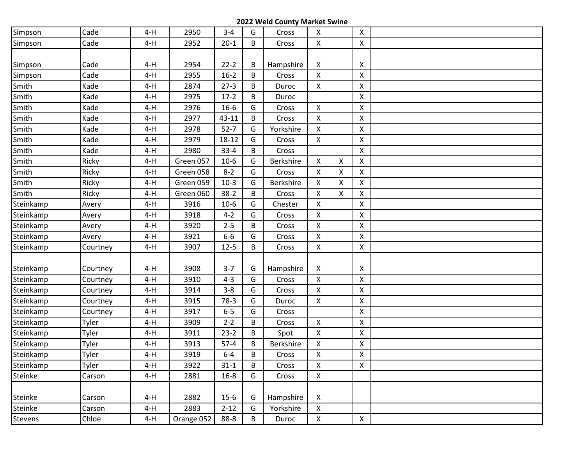| Simpson   | Cade     | $4-H$ | 2950       | $3 - 4$  | G | Cross     | $\mathsf{X}$       |                    | X              |  |
|-----------|----------|-------|------------|----------|---|-----------|--------------------|--------------------|----------------|--|
| Simpson   | Cade     | $4-H$ | 2952       | $20-1$   | B | Cross     | $\mathsf{X}$       |                    | Χ              |  |
|           |          |       |            |          |   |           |                    |                    |                |  |
| Simpson   | Cade     | $4-H$ | 2954       | $22 - 2$ | B | Hampshire | X                  |                    | X              |  |
| Simpson   | Cade     | $4-H$ | 2955       | $16-2$   | B | Cross     | $\mathsf{X}$       |                    | X              |  |
| Smith     | Kade     | $4-H$ | 2874       | $27-3$   | B | Duroc     | $\pmb{\mathsf{X}}$ |                    | X              |  |
| Smith     | Kade     | $4-H$ | 2975       | $17-2$   | B | Duroc     |                    |                    | X              |  |
| Smith     | Kade     | $4-H$ | 2976       | $16 - 6$ | G | Cross     | $\mathsf{X}$       |                    | X              |  |
| Smith     | Kade     | $4-H$ | 2977       | 43-11    | B | Cross     | $\mathsf{X}$       |                    | $\pmb{\times}$ |  |
| Smith     | Kade     | $4-H$ | 2978       | $52 - 7$ | G | Yorkshire | X                  |                    | X              |  |
| Smith     | Kade     | $4-H$ | 2979       | 18-12    | G | Cross     | X                  |                    | X              |  |
| Smith     | Kade     | $4-H$ | 2980       | $33 - 4$ | B | Cross     |                    |                    | X              |  |
| Smith     | Ricky    | $4-H$ | Green 057  | $10-6$   | G | Berkshire | $\mathsf{X}$       | $\pmb{\mathsf{X}}$ | X              |  |
| Smith     | Ricky    | $4-H$ | Green 058  | $8 - 2$  | G | Cross     | $\mathsf{X}$       | Χ                  | X              |  |
| Smith     | Ricky    | $4-H$ | Green 059  | $10-3$   | G | Berkshire | $\mathsf{X}$       | X                  | X              |  |
| Smith     | Ricky    | $4-H$ | Green 060  | $38-2$   | B | Cross     | X                  | $\pmb{\mathsf{X}}$ | X              |  |
| Steinkamp | Avery    | $4-H$ | 3916       | $10-6$   | G | Chester   | X                  |                    | X              |  |
| Steinkamp | Avery    | $4-H$ | 3918       | $4 - 2$  | G | Cross     | $\mathsf{X}$       |                    | X              |  |
| Steinkamp | Avery    | $4-H$ | 3920       | $2 - 5$  | B | Cross     | $\pmb{\mathsf{X}}$ |                    | X              |  |
| Steinkamp | Avery    | $4-H$ | 3921       | $6-6$    | G | Cross     | $\mathsf{X}$       |                    | X              |  |
| Steinkamp | Courtney | $4-H$ | 3907       | $12 - 5$ | B | Cross     | $\mathsf{X}$       |                    | X              |  |
|           |          |       |            |          |   |           |                    |                    |                |  |
| Steinkamp | Courtney | $4-H$ | 3908       | $3 - 7$  | G | Hampshire | X                  |                    | X              |  |
| Steinkamp | Courtney | $4-H$ | 3910       | $4 - 3$  | G | Cross     | $\mathsf{X}$       |                    | X              |  |
| Steinkamp | Courtney | $4-H$ | 3914       | $3 - 8$  | G | Cross     | $\mathsf{X}$       |                    | X              |  |
| Steinkamp | Courtney | $4-H$ | 3915       | $78-3$   | G | Duroc     | $\pmb{\mathsf{X}}$ |                    | X              |  |
| Steinkamp | Courtney | $4-H$ | 3917       | $6-5$    | G | Cross     |                    |                    | X              |  |
| Steinkamp | Tyler    | $4-H$ | 3909       | $2 - 2$  | B | Cross     | $\mathsf{X}$       |                    | $\pmb{\times}$ |  |
| Steinkamp | Tyler    | $4-H$ | 3911       | $23-2$   | B | Spot      | $\mathsf{X}$       |                    | X              |  |
| Steinkamp | Tyler    | $4-H$ | 3913       | $57-4$   | B | Berkshire | X                  |                    | X              |  |
| Steinkamp | Tyler    | $4-H$ | 3919       | $6-4$    | B | Cross     | X                  |                    | X              |  |
| Steinkamp | Tyler    | $4-H$ | 3922       | $31 - 1$ | B | Cross     | $\mathsf{X}$       |                    | X              |  |
| Steinke   | Carson   | $4-H$ | 2881       | $16 - 8$ | G | Cross     | $\mathsf X$        |                    |                |  |
|           |          |       |            |          |   |           |                    |                    |                |  |
| Steinke   | Carson   | $4-H$ | 2882       | $15-6$   | G | Hampshire | X                  |                    |                |  |
| Steinke   | Carson   | $4-H$ | 2883       | $2 - 12$ | G | Yorkshire | $\mathsf{X}$       |                    |                |  |
| Stevens   | Chloe    | $4-H$ | Orange 052 | 88-8     | B | Duroc     | $\mathsf X$        |                    | $\mathsf{X}$   |  |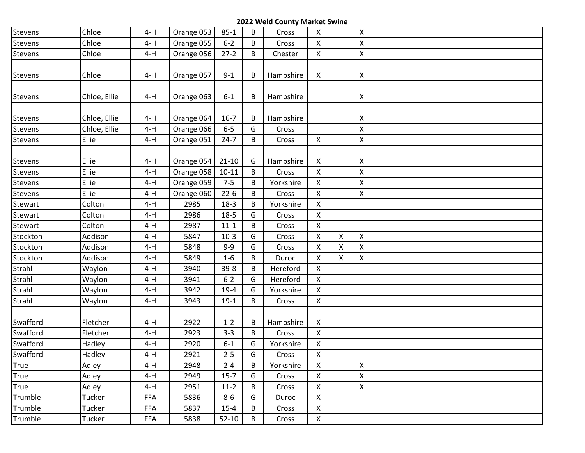| Stevens  | Chloe        | $4-H$ | Orange 053 | $85 - 1$  | B | Cross     | $\mathsf{X}$              |   | X                         |  |
|----------|--------------|-------|------------|-----------|---|-----------|---------------------------|---|---------------------------|--|
| Stevens  | Chloe        | $4-H$ | Orange 055 | $6 - 2$   | B | Cross     | $\pmb{\mathsf{X}}$        |   | Χ                         |  |
| Stevens  | Chloe        | $4-H$ | Orange 056 | $27-2$    | B | Chester   | $\mathsf{X}$              |   | X                         |  |
|          |              |       |            |           |   |           |                           |   |                           |  |
| Stevens  | Chloe        | $4-H$ | Orange 057 | $9 - 1$   | B | Hampshire | $\mathsf{X}$              |   | X                         |  |
|          |              |       |            |           |   |           |                           |   |                           |  |
| Stevens  | Chloe, Ellie | $4-H$ | Orange 063 | $6 - 1$   | В | Hampshire |                           |   | $\boldsymbol{\mathsf{X}}$ |  |
|          |              |       |            |           |   |           |                           |   |                           |  |
| Stevens  | Chloe, Ellie | $4-H$ | Orange 064 | $16-7$    | В | Hampshire |                           |   | X                         |  |
| Stevens  | Chloe, Ellie | $4-H$ | Orange 066 | $6-5$     | G | Cross     |                           |   | X                         |  |
| Stevens  | Ellie        | $4-H$ | Orange 051 | $24 - 7$  | B | Cross     | $\pmb{\mathsf{X}}$        |   | X                         |  |
|          |              |       |            |           |   |           |                           |   |                           |  |
| Stevens  | Ellie        | 4-H   | Orange 054 | $21 - 10$ | G | Hampshire | X                         |   | X                         |  |
| Stevens  | Ellie        | $4-H$ | Orange 058 | $10 - 11$ | B | Cross     | $\mathsf{X}$              |   | X                         |  |
| Stevens  | Ellie        | $4-H$ | Orange 059 | $7 - 5$   | B | Yorkshire | $\mathsf{X}$              |   | X                         |  |
| Stevens  | Ellie        | $4-H$ | Orange 060 | $22 - 6$  | B | Cross     | $\boldsymbol{\mathsf{X}}$ |   | X                         |  |
| Stewart  | Colton       | $4-H$ | 2985       | $18-3$    | В | Yorkshire | X                         |   |                           |  |
| Stewart  | Colton       | $4-H$ | 2986       | $18-5$    | G | Cross     | $\mathsf{X}$              |   |                           |  |
| Stewart  | Colton       | $4-H$ | 2987       | $11 - 1$  | B | Cross     | $\pmb{\mathsf{X}}$        |   |                           |  |
| Stockton | Addison      | $4-H$ | 5847       | $10-3$    | G | Cross     | $\mathsf{X}$              | X | X                         |  |
| Stockton | Addison      | $4-H$ | 5848       | $9 - 9$   | G | Cross     | X                         | X | X                         |  |
| Stockton | Addison      | $4-H$ | 5849       | $1 - 6$   | В | Duroc     | X                         | X | X                         |  |
| Strahl   | Waylon       | $4-H$ | 3940       | $39 - 8$  | B | Hereford  | $\mathsf{X}$              |   |                           |  |
| Strahl   | Waylon       | $4-H$ | 3941       | $6 - 2$   | G | Hereford  | $\mathsf{X}$              |   |                           |  |
| Strahl   | Waylon       | $4-H$ | 3942       | $19-4$    | G | Yorkshire | $\mathsf{X}$              |   |                           |  |
| Strahl   | Waylon       | $4-H$ | 3943       | $19-1$    | B | Cross     | $\mathsf{X}^-$            |   |                           |  |
|          |              |       |            |           |   |           |                           |   |                           |  |
| Swafford | Fletcher     | $4-H$ | 2922       | $1 - 2$   | В | Hampshire | X                         |   |                           |  |
| Swafford | Fletcher     | $4-H$ | 2923       | $3 - 3$   | В | Cross     | $\mathsf{X}$              |   |                           |  |
| Swafford | Hadley       | $4-H$ | 2920       | $6 - 1$   | G | Yorkshire | $\pmb{\mathsf{X}}$        |   |                           |  |
| Swafford | Hadley       | $4-H$ | 2921       | $2 - 5$   | G | Cross     | X                         |   |                           |  |
| True     | Adley        | $4-H$ | 2948       | $2 - 4$   | B | Yorkshire | $\mathsf{X}$              |   | X                         |  |
| True     | Adley        | $4-H$ | 2949       | $15-7$    | G | Cross     | $\mathsf X$               |   | X                         |  |
| True     | Adley        | $4-H$ | 2951       | $11-2$    | В | Cross     | $\mathsf{X}$              |   | $\mathsf{X}$              |  |
| Trumble  | Tucker       | FFA   | 5836       | $8-6$     | G | Duroc     | $\pmb{\mathsf{X}}$        |   |                           |  |
| Trumble  | Tucker       | FFA   | 5837       | $15 - 4$  | В | Cross     | $\pmb{\mathsf{X}}$        |   |                           |  |
| Trumble  | Tucker       | FFA   | 5838       | $52-10$   | B | Cross     | $\mathsf{X}^-$            |   |                           |  |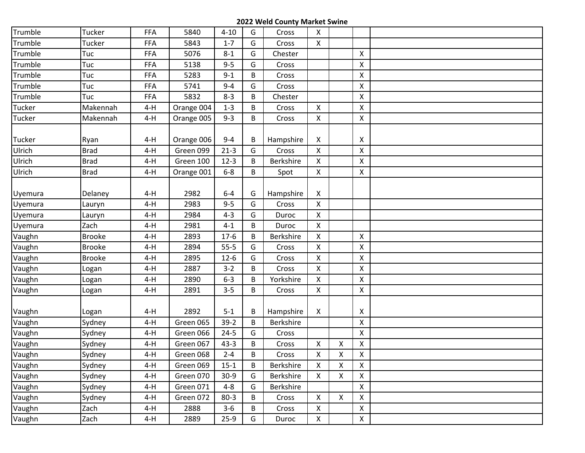| Trumble | Tucker        |            | 5840       |          |   |                  | $\mathsf{X}$       |                |                |  |
|---------|---------------|------------|------------|----------|---|------------------|--------------------|----------------|----------------|--|
|         |               | <b>FFA</b> |            | $4 - 10$ | G | Cross            |                    |                |                |  |
| Trumble | Tucker        | <b>FFA</b> | 5843       | $1 - 7$  | G | Cross            | $\mathsf{X}$       |                |                |  |
| Trumble | Tuc           | <b>FFA</b> | 5076       | $8 - 1$  | G | Chester          |                    |                | X              |  |
| Trumble | Tuc           | FFA        | 5138       | $9 - 5$  | G | Cross            |                    |                | X              |  |
| Trumble | Tuc           | <b>FFA</b> | 5283       | $9 - 1$  | B | Cross            |                    |                | X              |  |
| Trumble | Tuc           | <b>FFA</b> | 5741       | $9 - 4$  | G | Cross            |                    |                | X              |  |
| Trumble | Tuc           | <b>FFA</b> | 5832       | $8 - 3$  | B | Chester          |                    |                | X              |  |
| Tucker  | Makennah      | $4-H$      | Orange 004 | $1 - 3$  | B | Cross            | $\mathsf{X}$       |                | X              |  |
| Tucker  | Makennah      | $4-H$      | Orange 005 | $9 - 3$  | B | Cross            | X                  |                | X              |  |
| Tucker  | Ryan          | $4-H$      | Orange 006 | $9 - 4$  | B | Hampshire        | X                  |                | X              |  |
| Ulrich  | <b>Brad</b>   | $4-H$      | Green 099  | $21-3$   | G | Cross            | $\pmb{\mathsf{X}}$ |                | X              |  |
| Ulrich  | <b>Brad</b>   | $4-H$      | Green 100  | $12-3$   | B | Berkshire        | $\mathsf{X}$       |                | X              |  |
| Ulrich  | <b>Brad</b>   | $4-H$      | Orange 001 | $6-8$    | B | Spot             | $\mathsf{X}$       |                | X              |  |
| Uyemura | Delaney       | $4-H$      | 2982       | $6-4$    | G | Hampshire        | X                  |                |                |  |
| Uyemura | Lauryn        | $4-H$      | 2983       | $9 - 5$  | G | Cross            | $\pmb{\mathsf{X}}$ |                |                |  |
| Uyemura | Lauryn        | $4-H$      | 2984       | $4 - 3$  | G | Duroc            | $\mathsf{X}$       |                |                |  |
| Uyemura | Zach          | $4-H$      | 2981       | $4 - 1$  | B | Duroc            | $\mathsf{X}$       |                |                |  |
| Vaughn  | <b>Brooke</b> | $4-H$      | 2893       | $17-6$   | B | <b>Berkshire</b> | X                  |                | $\pmb{\times}$ |  |
| Vaughn  | <b>Brooke</b> | $4-H$      | 2894       | $55 - 5$ | G | Cross            | $\mathsf{X}$       |                | X              |  |
| Vaughn  | <b>Brooke</b> | $4-H$      | 2895       | $12-6$   | G | Cross            | X                  |                | X              |  |
| Vaughn  | Logan         | $4-H$      | 2887       | $3 - 2$  | B | Cross            | $\mathsf{X}$       |                | Χ              |  |
| Vaughn  | Logan         | $4-H$      | 2890       | $6 - 3$  | B | Yorkshire        | $\mathsf{X}$       |                | X              |  |
| Vaughn  | Logan         | $4-H$      | 2891       | $3 - 5$  | B | Cross            | $\mathsf{X}$       |                | X              |  |
| Vaughn  | Logan         | $4-H$      | 2892       | $5 - 1$  | B | Hampshire        | X                  |                | X              |  |
| Vaughn  | Sydney        | $4-H$      | Green 065  | $39-2$   | B | Berkshire        |                    |                | X              |  |
| Vaughn  | Sydney        | $4-H$      | Green 066  | $24 - 5$ | G | Cross            |                    |                | X              |  |
| Vaughn  | Sydney        | $4-H$      | Green 067  | $43 - 3$ | B | Cross            | $\mathsf{X}$       | Χ              | X              |  |
| Vaughn  | Sydney        | $4-H$      | Green 068  | $2 - 4$  | B | Cross            | X.                 | X              | X              |  |
| Vaughn  | Sydney        | $4-H$      | Green 069  | $15 - 1$ | B | Berkshire        | $\mathsf{X}$       | X              | X              |  |
| Vaughn  | Sydney        | $4-H$      | Green 070  | $30-9$   | G | Berkshire        | $\mathsf{X}$       | X              | X              |  |
| Vaughn  | Sydney        | $4-H$      | Green 071  | $4 - 8$  | G | Berkshire        |                    |                | $\pmb{\times}$ |  |
| Vaughn  | Sydney        | $4-H$      | Green 072  | $80-3$   | B | Cross            | $\mathsf{X}$       | $\pmb{\times}$ | $\pmb{\times}$ |  |
| Vaughn  | Zach          | $4-H$      | 2888       | $3-6$    | B | Cross            | $\pmb{\mathsf{X}}$ |                | X              |  |
| Vaughn  | Zach          | $4-H$      | 2889       | $25-9$   | G | Duroc            | $\mathsf{X}^-$     |                | $\mathsf{X}^-$ |  |